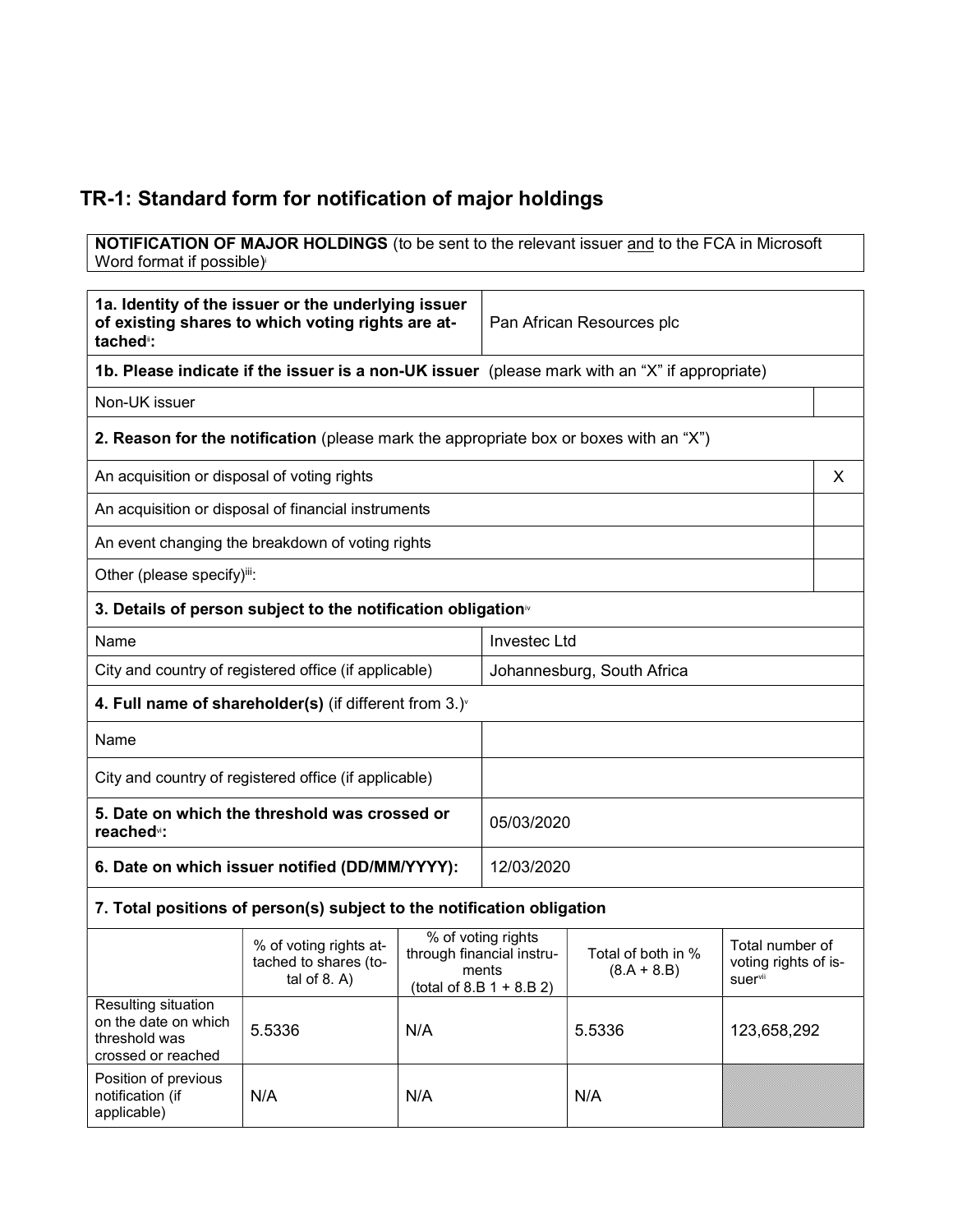## TR-1: Standard form for notification of major holdings

**NOTIFICATION OF MAJOR HOLDINGS** (to be sent to the relevant issuer and to the FCA in Microsoft Word format if possible)

| 1a. Identity of the issuer or the underlying issuer<br>of existing shares to which voting rights are at-<br>tached <sup>®</sup> : |                                                                                       | Pan African Resources plc                                                              |                            |                                     |                                                    |   |
|-----------------------------------------------------------------------------------------------------------------------------------|---------------------------------------------------------------------------------------|----------------------------------------------------------------------------------------|----------------------------|-------------------------------------|----------------------------------------------------|---|
| 1b. Please indicate if the issuer is a non-UK issuer (please mark with an "X" if appropriate)                                     |                                                                                       |                                                                                        |                            |                                     |                                                    |   |
| Non-UK issuer                                                                                                                     |                                                                                       |                                                                                        |                            |                                     |                                                    |   |
|                                                                                                                                   | 2. Reason for the notification (please mark the appropriate box or boxes with an "X") |                                                                                        |                            |                                     |                                                    |   |
| An acquisition or disposal of voting rights                                                                                       |                                                                                       |                                                                                        |                            |                                     |                                                    | X |
|                                                                                                                                   | An acquisition or disposal of financial instruments                                   |                                                                                        |                            |                                     |                                                    |   |
|                                                                                                                                   | An event changing the breakdown of voting rights                                      |                                                                                        |                            |                                     |                                                    |   |
| Other (please specify)iii:                                                                                                        |                                                                                       |                                                                                        |                            |                                     |                                                    |   |
|                                                                                                                                   | 3. Details of person subject to the notification obligation <sup>®</sup>              |                                                                                        |                            |                                     |                                                    |   |
| Name                                                                                                                              |                                                                                       |                                                                                        | <b>Investec Ltd</b>        |                                     |                                                    |   |
|                                                                                                                                   | City and country of registered office (if applicable)                                 |                                                                                        | Johannesburg, South Africa |                                     |                                                    |   |
|                                                                                                                                   | 4. Full name of shareholder(s) (if different from $3.$ ) $\check{ }$                  |                                                                                        |                            |                                     |                                                    |   |
| Name                                                                                                                              |                                                                                       |                                                                                        |                            |                                     |                                                    |   |
| City and country of registered office (if applicable)                                                                             |                                                                                       |                                                                                        |                            |                                     |                                                    |   |
| 5. Date on which the threshold was crossed or<br>reached <sup>vi</sup> :                                                          |                                                                                       | 05/03/2020                                                                             |                            |                                     |                                                    |   |
| 6. Date on which issuer notified (DD/MM/YYYY):                                                                                    |                                                                                       | 12/03/2020                                                                             |                            |                                     |                                                    |   |
|                                                                                                                                   | 7. Total positions of person(s) subject to the notification obligation                |                                                                                        |                            |                                     |                                                    |   |
|                                                                                                                                   | % of voting rights at-<br>tached to shares (to-<br>tal of $8. A$ )                    | % of voting rights<br>through financial instru-<br>ments<br>$(total of 8.B 1 + 8.B 2)$ |                            | Total of both in %<br>$(8.A + 8.B)$ | Total number of<br>voting rights of is-<br>suervii |   |
| Resulting situation<br>on the date on which<br>threshold was<br>crossed or reached                                                | 5.5336                                                                                | N/A                                                                                    |                            | 5.5336                              | 123,658,292                                        |   |
| Position of previous<br>notification (if<br>applicable)                                                                           | N/A                                                                                   | N/A                                                                                    |                            | N/A                                 |                                                    |   |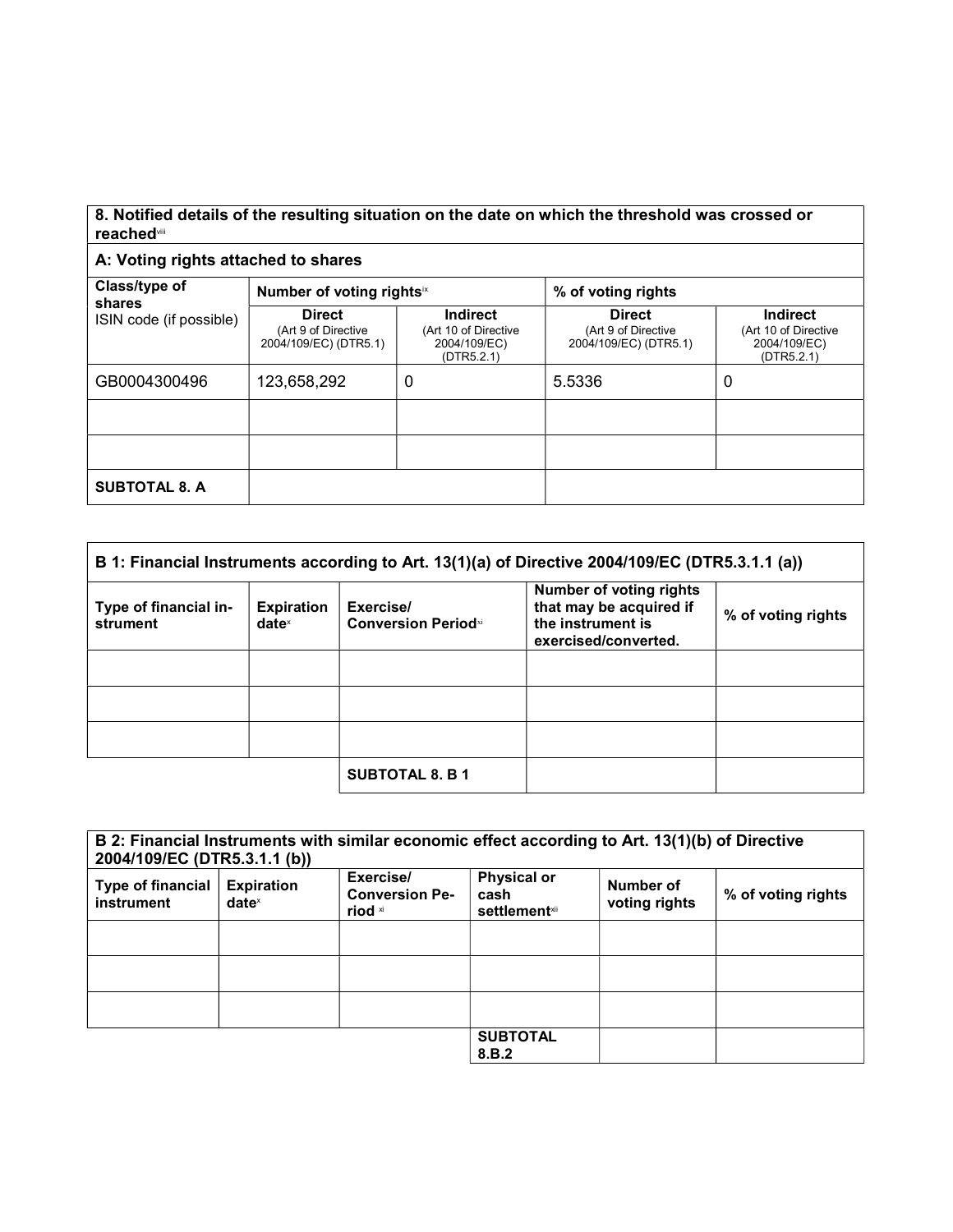## 8. Notified details of the resulting situation on the date on which the threshold was crossed or reachedvii

## A: Voting rights attached to shares

| Class/type of<br>shares | Number of voting rightsix                                     |                                                                       | % of voting rights                                            |                                                                       |
|-------------------------|---------------------------------------------------------------|-----------------------------------------------------------------------|---------------------------------------------------------------|-----------------------------------------------------------------------|
| ISIN code (if possible) | <b>Direct</b><br>(Art 9 of Directive<br>2004/109/EC) (DTR5.1) | <b>Indirect</b><br>(Art 10 of Directive<br>2004/109/EC)<br>(DTR5.2.1) | <b>Direct</b><br>(Art 9 of Directive<br>2004/109/EC) (DTR5.1) | <b>Indirect</b><br>(Art 10 of Directive<br>2004/109/EC)<br>(DTR5.2.1) |
| GB0004300496            | 123,658,292                                                   | 0                                                                     | 5.5336                                                        | 0                                                                     |
|                         |                                                               |                                                                       |                                                               |                                                                       |
|                         |                                                               |                                                                       |                                                               |                                                                       |
| <b>SUBTOTAL 8. A</b>    |                                                               |                                                                       |                                                               |                                                                       |

| B 1: Financial Instruments according to Art. 13(1)(a) of Directive 2004/109/EC (DTR5.3.1.1 (a)) |                                      |                                          |                                                                                                        |                    |
|-------------------------------------------------------------------------------------------------|--------------------------------------|------------------------------------------|--------------------------------------------------------------------------------------------------------|--------------------|
| Type of financial in-<br>strument                                                               | <b>Expiration</b><br>$date^{\times}$ | Exercise/<br><b>Conversion Period</b> xi | <b>Number of voting rights</b><br>that may be acquired if<br>the instrument is<br>exercised/converted. | % of voting rights |
|                                                                                                 |                                      |                                          |                                                                                                        |                    |
|                                                                                                 |                                      |                                          |                                                                                                        |                    |
|                                                                                                 |                                      |                                          |                                                                                                        |                    |
|                                                                                                 |                                      | <b>SUBTOTAL 8. B 1</b>                   |                                                                                                        |                    |

| 2004/109/EC (DTR5.3.1.1 (b))           |                                      | B 2: Financial Instruments with similar economic effect according to Art. 13(1)(b) of Directive |                                                     |                            |                    |
|----------------------------------------|--------------------------------------|-------------------------------------------------------------------------------------------------|-----------------------------------------------------|----------------------------|--------------------|
| <b>Type of financial</b><br>instrument | <b>Expiration</b><br>$date^{\times}$ | Exercise/<br><b>Conversion Pe-</b><br>riod xi                                                   | <b>Physical or</b><br>cash<br><b>settlement</b> xii | Number of<br>voting rights | % of voting rights |
|                                        |                                      |                                                                                                 |                                                     |                            |                    |
|                                        |                                      |                                                                                                 |                                                     |                            |                    |
|                                        |                                      |                                                                                                 |                                                     |                            |                    |
|                                        |                                      |                                                                                                 | <b>SUBTOTAL</b><br>8.B.2                            |                            |                    |